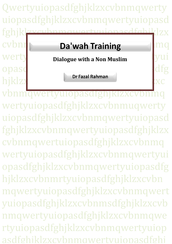Qwertyuiopasdfghjklzxcvbnmqwerty uiopasdfghjklzxcvbnmqwertyuiopasd fghjklzxcvbnmqwertyuiopasdfghjklzx cvbnn**der basden van Training** Werty Dialogue with a Non Muslim **Werty** opasd<sub>f</sub>ghesialen between the second to the second of the second to the second to the second to the second to the second to the second to the second to the second to the second to the second to the second to the second to hjklzx**c** 

1 rtyuiopasdfghjklzxcvbnmqwertyuiop vbnmqwertyuiopasdfghjklzxcvbnmq wertyuiopasdfghjklzxcvbnmuqwerty uiopasdfghjklzxcvbnmqwertyuiopasd fghjklzxcvbnmqwertyuiopasdfghjklzx cvbnmqwertuiopasdfghjklzxcvbnmq wertyuiopasdfghjklzxcvbnmqwertyui opasdfghjklzxcvbnmqwertyuiopasdfg hjklzxcvbnmrtyuiopasdfghjklzxcvbn mqwertyuiopasdfghjklzxcvbnmqwert yuiopasdfghjklzxcvbnmsdfghjklzxcvb nmqwertyuiopasdfghjklzxcvbnmqwe asdfghiklzxcvbnmqwertyuiopasdfghi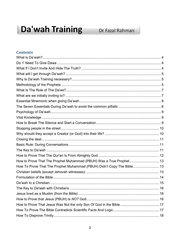# Da'wah Training

# Dr Fazal Rahman

# **Contents**

| How to Prove That The Prophet Muhammad (PBUH) Was a True Prophet  13   |  |
|------------------------------------------------------------------------|--|
| How To Prove That The Prophet Muhammad (PBUH) Didn't Copy The Bible 13 |  |
|                                                                        |  |
|                                                                        |  |
|                                                                        |  |
|                                                                        |  |
|                                                                        |  |
|                                                                        |  |
|                                                                        |  |
|                                                                        |  |
|                                                                        |  |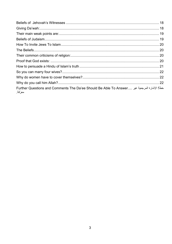| خطأ! الإشارة المرجعية غير  Further Questions and Comments The Da'ee Should Be Able To Answer<br>معرّفة. |  |
|---------------------------------------------------------------------------------------------------------|--|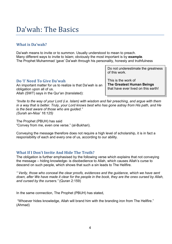# Da'wah: The Basics

# <span id="page-3-0"></span>**What is Da'wah?**

Da'wah means to invite or to summon. Usually understood to mean to preach. Many different ways to invite to Islam; obviously the most important is by **example**. The Prophet Muhammad 'gave' Da'wah through his personality, honesty and truthfulness

> Do not underestimate the greatness of this work.

<span id="page-3-1"></span>**Do 'I' Need To Give Da'wah**  An important matter for us to realize is that Da'wah is an obligation upon all of us. Allah (SWT) says in the Qur'an (translated):

This is the work of **The Greatest Human Beings** that have ever lived on this earth!

*"Invite to the way of your Lord (i.e. Islam) with wisdom and fair preaching, and argue with them in a way that is better. Truly, your Lord knows best who has gone astray from His path, and He is the best aware of those who are guided." (Surah an-Nisa' 16:125)*

The Prophet (PBUH) has said "Convey from me, even one verse." (al-Bukhari).

Conveying the message therefore does not require a high level of scholarship, it is in fact a responsibility of each and every one of us, according to our ability.

# <span id="page-3-2"></span>**What If I Don't Invite And Hide The Truth?**

The obligation is further emphasised by the following verse which explains that not conveying the message – hiding knowledge- is disobedience to Allah, which causes Allah's curse to descend on such people, which shows that such a sin leads to The Hellfire.

*" Verily, those who conceal the clear proofs, evidences and the guidance, which we have sent down, after We have made it clear for the people in the book, they are the ones cursed by Allah, and cursed by the cursers."* (Quran 2:159)

In the same connection, The Prophet (PBUH) has stated,

"Whoever hides knowledge, Allah will brand him with the branding iron from The Hellfire." (Ahmad)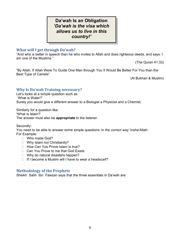# **Da'wah Is an Obligation** *'Da'wah is the visa which allows us to live in this country!'*

# <span id="page-4-0"></span>**What will I get through Da'wah?**

"And who is better in speech than he who invites to Allah and does righteous deeds, and says: I am one of the Muslims."

(The Quran 41:33)

"By Allah, If Allah Were To Guide One Man through You It Would Be Better For You than the Best Type of Camels"

(Al Bukhari & Muslim)

# <span id="page-4-1"></span>**Why Is Da'wah Training necessary?**

Let's looks at a simple question such as 'What is Water?' Surely you would give a different answer to a Biologist a Physicist and a Chemist;

Similarly for a question like:

**'**What is Islam?'

The answer must also be **appropriate** to the listener.

Secondly:

You need to be able to answer some simple questions '*in the correct way'* Insha'Allah: For Example:

- □ Who made God?
- □ Why Islam not Christianity?
- $\Box$  How Can You Prove Islam is true?
- □ Can You Prove to me that God Exists.
- □ Why do natural disasters happen?
- <span id="page-4-2"></span> $\Box$  If I become a Muslim will I have to wear a headscarf?

#### **Methodology of the Prophets**

Sheikh Salih Ibn Fawzan says that the three essentials in Da'wah are: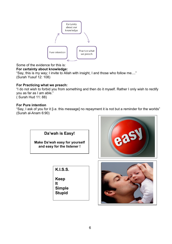

# Some of the evidence for this is:

**For certainty about knowledge:**

"Say, this is my way; I invite to Allah with insight, I and those who follow me...." (Surah Yusuf 12: 108)

# **For Practicing what we preach:**

"I do not wish to forbid you from something and then do it myself. Rather I only wish to rectify you as far as I am able." ( Surah Hud 11: 88)

# **For Pure intention**

"Say, I ask of you for it [i.e. this message] no repayment it is not but a reminder for the worlds" (Surah al-Anam 6:90)

**Da'wah is Easy!**

**Make Da'wah easy for yourself and easy for the listener !**

**K.I.S.S.**

**Keep It Simple**

**Stupid**



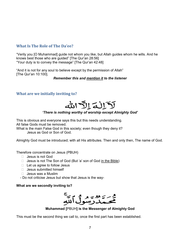# <span id="page-6-0"></span>**What Is The Role of The Da'ee?**

"Verily you [O Muhammad] guide not whom you like, but Allah guides whom he wills. And he knows best those who are guided" [The Qur'an 28:56] "Your duty is to convey the message" [The Qur'an 42:48]

"And it is not for any soul to believe except by the permission of Allah" [The Qur'an 10:100].

#### *Remember this and mention it to the listener*

# <span id="page-6-1"></span>**What are we initially inviting to?**



# *'There is nothing worthy of worship except Almighty God'*

This is obvious and everyone says this but this needs understanding. All false Gods must be removed.

What is the main False God in this society; even though they deny it? Jesus as God or Son of God.

Almighty God must be introduced; with all His attributes. Then and only then, The name of God.

Therefore concentrate on Jesus (PBUH)

- $\Box$  Jesus is not God
- $\Box$  Jesus is not The Son of God (But 'a' son of God in the Bible)
- $\Box$  Let us agree to follow Jesus
- $\Box$  Jesus submitted himself
- $\Box$  Jesus was a Muslim
- Do not criticise Jesus but show that Jesus is the way-

# **What are we secondly inviting to?**



# **Muhammad [**PBUH**] is the Messenger of Almighty God**

This must be the second thing we call to, once the first part has been established.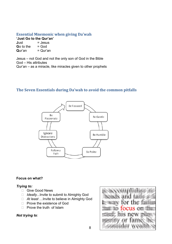# <span id="page-7-0"></span>**Essential Mnemonic when giving Da'wah**

**'Just Go to the Qur'an'**  $Just = Jesus$ 

**G**o to the  $=$  God **Q**ur'an  $=$  Qur'an **Q**ur'an

Jesus – not God and not the only son of God in the Bible God – His attributes Qur'an – as a miracle, like miracles given to other prophets

# <span id="page-7-1"></span>**The Seven Essentials during Da'wah to avoid the common pitfalls**



#### **Focus on what?**

#### *Trying to:*

- Give Good News
- *Ideally...*Invite to submit to Almighty God
- *At least* …Invite to believe in Almighty God
- □ Prove the existence of God
- $\Box$  Prove the truth of Islam

#### *Not trying to:*

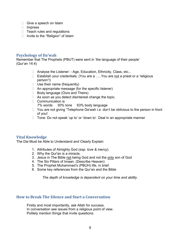- Give a speech on Islam
- Impress
- $\Box$  Teach rules and regulations
- $\Box$  Invite to the "Religion" of Islam

#### <span id="page-8-0"></span>**Psychology of Da'wah**

Remember that The Prophets (PBUT) were sent in 'the language of their people' (Qur'an 14:4)

- □ Analyse the Listener: Age, Education, Ethnicity, Class, etc...
- □ Establish your credentials. (You are a .....You are not a priest or a 'religious person'!)
- $\Box$  Use their name (frequently)
- $\Box$  An appropriate message (for the specific listener)
- □ Body language (Ours and Theirs)
- $\Box$  As soon as you detect disinterest change the topic.
- $\Box$  Communication is 7% words 30% tone 63% body language
- $\Box$  You are not giving "Telephone Da'wah i.e. don't be oblivious to the person in front of you!
- $\Box$  Tone: Do not speak 'up to' or 'down to'. Deal in an appropriate manner

#### <span id="page-8-1"></span>**Vital Knowledge**

The Dai Must be Able to Understand and Clearly Explain:

- 1. Attributes of Almighty God (*esp. love & mercy*).
- 2. Why the Qur'an is a miracle.
- 3. Jesus in The Bible not being God and not the only son of God
- 4. The Six Pillars of Imaan. (Describe Heaven)
- 5. The Prophet Muhammad's (PBUH) life, in brief.
- 6. Some key references from the Qur'an and the Bible

*The depth of knowledge is dependent on your time and ability.*

### <span id="page-8-2"></span>**How to Break The Silence and Start a Conversation**

Firstly and most importantly, ask Allah for success. In conversation see issues from a religious point of view. Politely mention things that invite questions: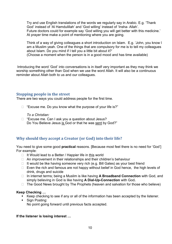Try and use English translations of the words we regularly say in Arabic. E.g. 'Thank God' instead of 'Al Hamdulillah' and 'God willing' instead of 'Insha- Allah'. Future doctors could for example say 'God willing you will get better with this medicine.' At prayer time make a point of mentioning where you are going.

Think of a way of giving colleagues a short introduction on Islam. E.g. 'John, you know I am a Muslim yeah. One of the things that are compulsory for me is to tell my colleagues about Islam. Do you mind if I tell you a little bit about it?'

(Choose a moment when the person is in a good mood and has time available)

Introducing the word 'God' into conversations is in itself very important as they may think we worship something other than God when we use the word Allah. It will also be a continuous reminder about Allah both to us and our colleagues.

# <span id="page-9-0"></span>**Stopping people in the street**

There are two ways you could address people for the first time.

 $\Box$  "Excuse me. Do you know what the purpose of your life is?"

*To a Christian:*

□ "Excuse me. Can I ask you a question about Jesus? Do You Believe Jesus is God or that he was sent by God?"

# <span id="page-9-1"></span>**Why should they accept a Creator (or God) into their life?**

You need to give some good **practical** reasons. [Because most feel there is no need for 'God'] For example:

- $\Box$  It Would lead to a Better / Happier life in this world
- $\Box$  An improvement in their relationships and their children's behaviour
- $\Box$  It would be like having someone very rich (e.g. Bill Gates) as your best friend
- $\Box$  Even the rich and famous are not happy without belief in God hence, the high levels of drink, drugs and suicide
- In internet terms; being a Muslim is like having **A Broadband Connection** with God, and simply believing in God is like having **A Dial-Up-Connection** with God**.**
- $\Box$  The Good News brought by The Prophets (heaven and salvation for those who believe)

#### **Keep Checking …**

- Keep checking to see if any or all of the information has been accepted by the listener.
- **Sign Posting:**

No point going forward until previous facts accepted.

#### **If the listener is losing interest …**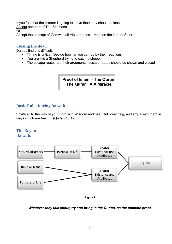If you feel that the listener is going to leave then they should at least: Accept one part of The Sha'hada Or Accept the concept of God with all His attributes – mention the idea of Shirk.

# <span id="page-10-0"></span>**Closing the deal...**

Da'ees find this difficult.

- **Timing is critical. Decide how far you can go by their reactions**
- You are like a Shepherd trying to catch a sheep.
- The escape routes are their arguments, escape routes should be shown and closed

**Proof of Islam = The Quran The Quran = A Miracle**

# <span id="page-10-1"></span>**Basic Rule: During Da'wah**

"Invite all to the way of your Lord with Wisdom and beautiful preaching, and argue with them in ways which are best…" (Qur'an 16:125)

#### <span id="page-10-2"></span>**The Key to Da'wah**:





#### *Whatever they talk about, try and bring in the Qur'an, as the ultimate proof.*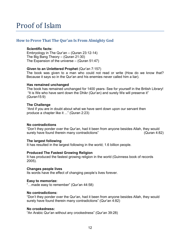# <span id="page-11-0"></span>**How to Prove That The Qur'an Is From Almighty God**

#### **Scientific facts:**

Embryology in The Qur'an – (Quran 23:12-14) The Big Bang Theory – (Quran 21:30) The Expansion of the universe – (Quran 51:47)

#### **Given to an Unlettered Prophet** (Qur'an 7:157)

The book was given to a man who could not read or write (How do we know that? Because it says so in the Qur'an and his enemies never called him a liar).

#### **Has remained unchanged**

The book has remained unchanged for 1400 years- See for yourself in the British Library! "It is We who have sent down the Dhikr (Qur'an) and surely We will preserve it" (Quran15:9)

#### **The Challenge**

"And if you are in doubt about what we have sent down upon our servant then produce a chapter like it ..." (Quran 2:23)

#### **No contradictions**

"Don't they ponder over the Qur'an, had it been from anyone besides Allah, they would surely have found therein many contradictions" (Quran 4:82)

#### **The largest following**

It has resulted in the largest following in the world; 1.6 billion people.

#### **Produced The Fastest Growing Religion**

It has produced the fastest growing religion in the world (Guinness book of records 2005).

#### **Changes people lives**

Its words have the effect of changing people's lives forever.

#### **Easy to memorize:**

"…made easy to remember" (Qur'an 44:58)

#### **No contradictions:**

"Don't they ponder over the Qur'an, had it been from anyone besides Allah, they would surely have found therein many contradictions" (Qur'an 4:82)

#### **No crookedness:**

"An Arabic Qur'an without any crookedness" (Qur'an 39:28)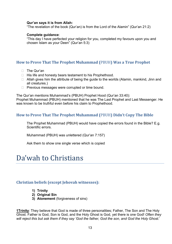#### **Qur'an says it is from Allah:**

"The revelation of the book (Qur'an) is from the Lord of the Alamin" (Qur'an 21:2)

#### **Complete guidance**:

"This day I have perfected your religion for you, completed my favours upon you and chosen Islam as your Deen" (Qur'an 5:3)

# <span id="page-12-0"></span>**How to Prove That The Prophet Muhammad (**PBUH**) Was a True Prophet**

- □ The Qur'an
- $\Box$  His life and honesty bears testament to his Prophethood.
- $\Box$  Allah gives him the attribute of being the guide to the worlds (Alamin, mankind, Jinn and all creatures.)
- $\Box$  Previous messages were corrupted or time bound.

The Qur'an mentions Muhammad's (PBUH) Prophet Hood (Qur'an 33:40):

Prophet Muhammad (PBUH) mentioned that he was The Last Prophet and Last Messenger. He was known to be truthful even before his claim to Prophethood.

# <span id="page-12-1"></span>**How to Prove That The Prophet Muhammad (**PBUH**) Didn't Copy The Bible**

The Prophet Muhammad (PBUH) would have copied the errors found in the Bible? E.g. Scientific errors.

Muhammad (PBUH) was unlettered (Qur'an 7:157)

Ask them to show one single verse which is copied

# Da'wah to Christians

#### <span id="page-12-2"></span>**Christian beliefs (except Jehovah witnesses):**

- **1) Trinity**
- **2) Original Sin**
- **3) Atonement** (forgiveness of sins)

**1Trinity**: They believe that God is made of three personalities; Father, The Son and The Holy Ghost. Father is God, Son is God, and the Holy Ghost is God, yet there is one God! *Often they will reject this but ask them if they say 'God the father, God the son, and God the Holy Ghost.*'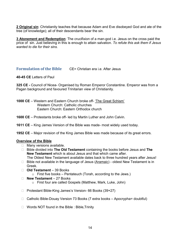**2 Original sin**: Christianity teaches that because Adam and Eve disobeyed God and ate of the tree (of knowledge); all of their descendants bear the sin.

**3 Atonement and Redemption**: The crucifixion of a man-god i.e. Jesus on the cross paid the price of sin. Just believing in this is enough to attain salvation. *To refute this ask them if Jesus wanted to die for their sins.*

# <span id="page-13-0"></span>**Formulation of the Bible CE= Christian era i.e. After Jesus**

**40-45 CE** Letters of Paul

**325 CE -** Council of Nicea- Organised by Roman Emperor Constantine. Emperor was from a Pagan background and favoured Trinitarian view of Christianity.

- **1000 CE** Western and Eastern Church broke off- 'The Great Schism' Western Church: Catholic churches Eastern Church: Eastern Orthodox church
- **1600 CE** Protestants broke off- led by Martin Luther and John Calvin.
- **1611 CE** King James Version of the Bible was made- most widely used today.
- **1952 CE** Major revision of the King James Bible was made because of its great errors.

#### **Overview of the Bible**

- $\Box$  Many versions available.
- Bible divided into **The Old Testament** containing the books before Jesus and **The New Testament** which is about Jesus and that which came after. The Oldest New Testament available dates back to three hundred years after Jesus!
- $\Box$  Bible not available in the language of Jesus (Aramaic) oldest New Testament is in Greek.
- **Old Testament** 39 Books
	- $\circ$  First five books Pentateuch (Torah, according to the Jews.)
- **New Testament** 27 Books o First four are called Gospels (Matthew, Mark, Luke, John)
- □ Protestant Bible-King James's Version- 66 Books (39+27)
- $\Box$  Catholic Bible-Douay Version 73 Books (7 extra books Apocrypha= doubtful)
- □ Words NOT found in the Bible : Bible, Trinity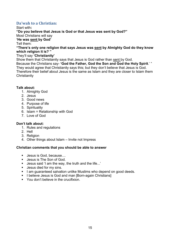# <span id="page-14-0"></span>**Da'wah to a Christian:**

#### Start with**: "Do you believe that Jesus is God or that Jesus was sent by God?"** Most Christians will say

**'He was sent by God'**

Tell them:

### **"There's only one religion that says Jesus was sent by Almighty God do they know which religion it is? "**

### They'll say **'Christianity'**

Show them that Christianity says that Jesus is God rather than sent by God. Because the Christians say- **'God the Father, God the Son and God the Holy Spirit**.' " They would agree that Christianity says this; but they don't believe that Jesus is God. Therefore their belief about Jesus is the same as Islam and they are closer to Islam them **Christianity** 

### **Talk about:**

- 1. Almighty God
- 2. Jesus
- 3. Good news
- 4. Purpose of life
- 5. Spirituality
- 6. Islam = Relationship with God
- 7. Love of God

# **Don't talk about:**

- 1. Rules and regulations
- 2. Hell
- 3. Religion
- 4. Other things about Islam Invite not Impress

# **Christian comments that you should be able to answer**

- **Jesus is God, because....**
- **Jesus is The Son of God.**
- Jesus said 'I am the way, the truth and the life...'
- **Jesus died for my sins.**
- I am guaranteed salvation unlike Muslims who depend on good deeds.
- I believe Jesus is God and man [Born-again Christians]
- **You don't believe in the crucifixion**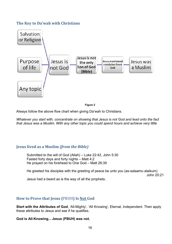# <span id="page-15-0"></span>**The Key to Da'wah with Christians**



**Figure 2**

Always follow the above flow chart when giving Da'wah to Christians.

*Whatever you start with, concentrate on showing that Jesus is not God and lead onto the fact that Jesus was a Muslim. With any other topic you could spend hours and achieve very little*

# <span id="page-15-1"></span>**Jesus lived as a Muslim** *(from the Bible)*

Submitted to the will of God (Allah) – Luke 22:42, John 5:30 Fasted forty days and forty nights – Matt 4:2 He prayed on his forehead to One God – Matt 26:39

He greeted his disciples with the greeting of peace be unto you (as-salaamu alaikum)

John 20:21

Jesus had a beard as is the way of all the prophets.

# <span id="page-15-2"></span>**How to Prove that Jesus (**PBUH**) Is Not God**

**Start with the Attributes of God**, 'All-Mighty', 'All Knowing', Eternal, Independent. Then apply these attributes to Jesus and see if he qualifies.

**God is All-Knowing... Jesus (PBUH) was not.**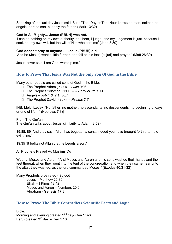Speaking of the last day Jesus said 'But of That Day or That Hour knows no man, neither the angels, nor the son, but only the father' (Mark 13:32)

#### **God is All-Mighty… Jesus (PBUH) was not.**

'I can do nothing on my own authority; as I hear, I judge, and my judgement is just, because I seek not my own will, but the will of Him who sent me' (John 5:30)

#### **God doesn't pray to anyone … Jesus (PBUH) did**

'And he (Jesus) went a little further, and fell on his face (sujud) and prayed.' (Matt 26:39)

<span id="page-16-0"></span>Jesus never said 'I am God, worship me.'

# **How to Prove That Jesus Was Not the only Son Of God in the Bible**

Many other people are called sons of God in the Bible:

- The Prophet Adam (PBUH) *Luke 3:38*
- The Prophet Solomon (PBUH) *II Samuel 7:13, 14*
- Angels *Job 1:6, 2:1, 38:7*
- The Prophet David (PBUH) *Psalms 2:7*

[NB: Melchizedek: 'No father, no mother, no ascendants, no descendents, no beginning of days, or end of life....' (Hebrews 7:3)]

From The Qur'an The Qur'an talks about Jesus' similarity to Adam (3:59)

19:88, 89 'And they say: "Allah has begotten a son... indeed you have brought forth a terrible evil thing."

19:35 "It befits not Allah that he begets a son."

All Prophets Prayed As Muslims Do

Wudhu: Moses and Aaron: "And Moses and Aaron and his sons washed their hands and their feet thereat: when they went into the tent of the congregation and when they came near unto the altar, they washed, as the lord commanded Moses." (Exodus 40:31-32)

Many Prophets prostrated - Sujood Jesus – Matthew 26:39 Elijah – I Kings 18:42 Moses and Aaron – Numbers 20:6 Abraham - Genesis 17:3

#### <span id="page-16-1"></span>**How to Prove The Bible Contradicts Scientific Facts and Logic**

Bible:

Morning and evening created 2<sup>nd</sup> day- Gen 1:6-8 Earth created  $3<sup>rd</sup>$  day – Gen 1:10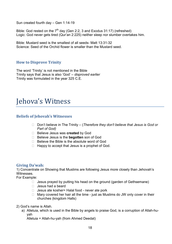Sun created fourth day – Gen 1:14-19

Bible: God rested on the  $7<sup>th</sup>$  day (Gen 2:2, 3 and Exodus 31:17) (refreshed) Logic: God never gets tired (Qur'an 2:225) neither sleep nor slumber overtakes him.

Bible: Mustard seed is the smallest of all seeds- Matt 13:31-32 Science: Seed of the Orchid flower is smaller than the Mustard seed.

# <span id="page-17-0"></span>**How to Disprove Trinity**

The word 'Trinity' is not mentioned in the Bible Trinity says that Jesus is also 'God' – *disproved earlier* Trinity was formulated in the year 325 C.E.

# Jehova's Witness

### <span id="page-17-1"></span>**Beliefs of Jehovah's Witnesses**

- □ Don't believe in The Trinity (*Therefore they don't believe that Jesus is God or Part of God)*
- Believe Jesus was **created** by God
- □ Believe Jesus is the **begotten** son of God
- $\Box$  Believe the Bible is the absolute word of God
- $\Box$  Happy to accept that Jesus is a prophet of God.

#### <span id="page-17-2"></span>**Giving Da'wah:**

1) Concentrate on Showing that Muslims are following Jesus more closely than Jehovah's **Witnesses** 

For Example:

- $\Box$  Jesus prayed by putting his head on the ground (garden of Gethsemane)
- $\Box$  Jesus had a beard
- $\Box$  Jesus ate kosher= Halal food never ate pork
- $\Box$  Mary covered her hair all the time just as Muslims do JW only cover in their churches (kingdom Halls)
- 2) God's name is Allah.
	- a) Alleluia, which is used in the Bible by angels to praise God, is a corruption of Allah-huyah

Alleluia = Allah-hu-yah (from Ahmed Deedat)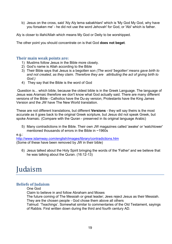b) Jesus on the cross, said 'Aly Aly lema sabakhtani' which is 'My God My God, why have you forsaken me' - he did not use the word Jehovah' for God, or 'Abi' which is father.

Aly is closer to illahi/Allah which means My God or Deity to be worshipped.

The other point you should concentrate on is that God **does not beget**.

### <span id="page-18-0"></span>**Their main weak points are:**

- 1) Muslims follow Jesus in the Bible more closely.
- 2) God's name is Allah according to the Bible
- 3) Their Bible says that Jesus is a begotten son *(The word 'begotten' means gave birth to and not created, as they claim. Therefore they are attributing the act of giving birth to God.)*
- 4) They say that the Bible is the word of God

Question is... which bible, because the oldest bible is in the Greek Language. The language of Jesus was Aramaic therefore we don't know what God actually said. There are many different versions of the Bible - Catholics have the Du-ay version, Protestants have the King James Version and the JW have The New World translation.

These are not different translations, but different **Versions** - they will say theirs is the most accurate as it goes back to the original Greek scripture, but Jesus did not speak Greek, but spoke Aramaic. (Compare with the Quran - preserved in its original language Arabic)

5) Many contradictions in the Bible. Their own JW magazines called 'awake' or 'watchtower' mentioned thousands of errors in the Bible in ~1960s

e.g.:

<http://www.islamway.com/english/images/library/contradictions.htm> (Some of these have been removed by JW in their bible)

6) Jesus talked about the Holy Spirit bringing the words of the 'Father' and we believe that he was talking about the Quran. (16:12-13)

# Judaism

# <span id="page-18-1"></span>**Beliefs of Judaism**

One God

Claim to believe in and follow Abraham and Moses

The future coming of The Messiah or great leader; Jews reject Jesus as their Messiah. They are the chosen people - God chose them above all others

Talmud: 'Teachings'. Somewhat similar to commentaries of the Old Testament, sayings of Rabbis. First written down during the third and fourth century AD.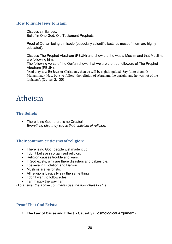# <span id="page-19-0"></span>**How to Invite Jews to Islam**

Discuss similarities: Belief in One God. Old Testament Prophets.

Proof of Qur'an being a miracle (especially scientific facts as most of them are highly educated).

Discuss The Prophet Abraham (PBUH) and show that he was a Muslim and that Muslims are following him.

The following verse of the Qur'an shows that **we** are the true followers of The Prophet Abraham (PBUH):

"And they say: Be Jews or Christians, then ye will be rightly guided. Say (unto them, O Muhammad): Nay, but (we follow) the religion of Abraham, the upright, and he was not of the idolaters". (Qur'an 2:135)

# Atheism

# <span id="page-19-1"></span>**The Beliefs**

• There is no God, there is no Creator! *Everything else they say is their criticism of religion.*

# <span id="page-19-2"></span>**Their common criticisms of religion:**

- There is no God, people just made it up.
- I don't believe in organised religion.
- Religion causes trouble and wars.
- If God exists, why are there disasters and babies die.
- **I believe in Evolution and Darwin.**
- **Muslims are terrorists.**
- All religions basically say the same thing
- $\blacksquare$  I don't want to follow rules.
- $\blacksquare$  I am happy the way I am.

(To *answer the above comments use the flow chart Fig 1.*)

# <span id="page-19-3"></span>**Proof That God Exists:**

1. **The Law of Cause and Effect** - Causality (Cosmological Argument)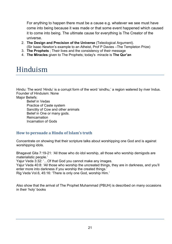For anything to happen there must be a cause e.g. whatever we see must have come into being because it was made or that some event happened which caused it to come into being. The ultimate cause for everything is The Creator of the universe.

- 2. **The Design and Precision of the Universe** (Teleological Argument). (Sir Isaac Newton's example to an Atheist, Prof P Davies –The Templeton Prize)
- 3. **The Prophets** ; Their lives and the consistency of their message
- 4. **The Miracles** given to The Prophets; today's miracle is **The Qur'an**

# Hinduism

Hindu: The word 'Hindu' is a corrupt form of the word 'sindhu,' a region watered by river Indus. Founder of Hinduism: None

Major Beliefs:

Belief in Vedas Practice of Caste system Sanctity of Cow and other animals Belief in One or many gods. Reincarnation Incarnation of Gods

# <span id="page-20-0"></span>**How to persuade a Hindu of Islam's truth**

Concentrate on showing that their scripture talks about worshipping one God and is against worshipping idols.

Bhagavat Gita 7:19-21: 'All those who do idol worship, all those who worship demigods are materialistic people.'

Yajur Veda 3:32: '…Of that God you cannot make any images.

Yajur Veda 40:8: 'All those who worship the uncreated things, they are in darkness, and you'll enter more into darkness if you worship the created things.'

Rig Veda Vol.6, 45:16: 'There is only one God, worship Him.'

Also show that the arrival of The Prophet Muhammad (PBUH) is described on many occasions in their 'holy' books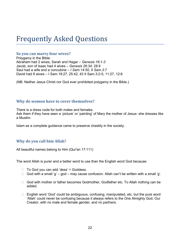# Frequently Asked Questions

### <span id="page-21-0"></span>**So you can marry four wives?**

Polygamy in the Bible: Abraham had 2 wives, Sarah and Hagar – *Genesis 16:1-3* Jacob, son of Isaac had 4 wives – *Genesis 26:34, 28:9* Saul had a wife and a concubine – *I Sam.14:50, II Sam.3:7* David had 8 wives – I Sam.18:27, 25:42, 43 II Sam.3:2-5, 11:27, 12:8

(NB: Neither Jesus Christ nor God ever prohibited polygamy in the Bible.)

### <span id="page-21-1"></span>**Why do women have to cover themselves?**

There is a dress code for both males and females. Ask them if they have seen a 'picture' or 'painting' of Mary the mother of Jesus- she dresses like a Muslim.

<span id="page-21-2"></span>Islam as a complete guidance came to preserve chastity in the society.

# **Why do you call him Allah?**

All beautiful names belong to Him (Qur'an 17:111)

The word Allah is purer and a better word to use than the English word God because:

- $\Box$  To God you can add 'dess' = Goddess.
- $\Box$  God with a small 'q' god may cause confusion. Allah can't be written with a small 'q'.
- □ God with mother or father becomes Godmother, Godfather etc. To Allah nothing can be added.
- $\Box$  English word 'God' could be ambiguous, confusing, manipulated, etc, but the pure word 'Allah' could never be confusing because it always refers to the One Almighty God, Our Creator, with no male and female gender, and no partners.